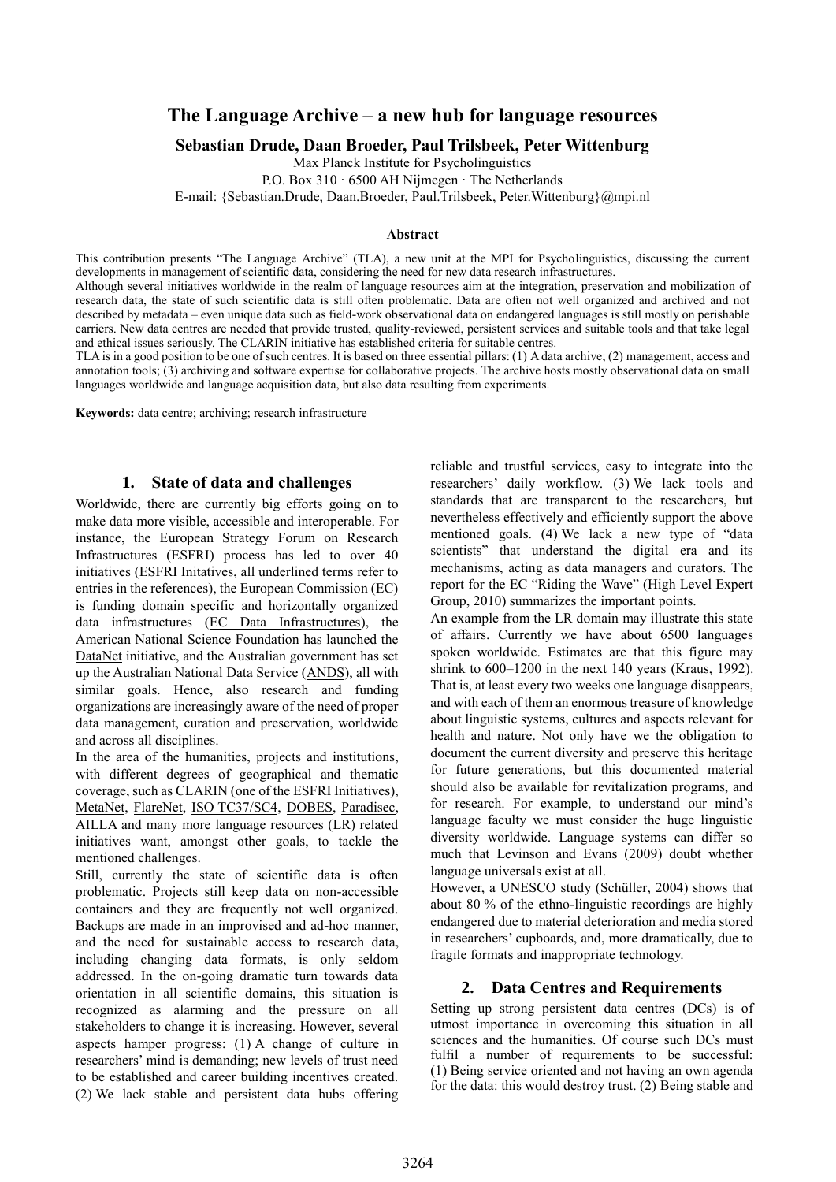# **The Language Archive – a new hub for language resources**

**Sebastian Drude, Daan Broeder, Paul Trilsbeek, Peter Wittenburg**

Max Planck Institute for Psycholinguistics

P.O. Box 310 · 6500 AH Nijmegen · The Netherlands

E-mail: {Sebastian.Drude, Daan.Broeder, Paul.Trilsbeek, Peter.Wittenburg}@mpi.nl

#### **Abstract**

This contribution presents "The Language Archive" (TLA), a new unit at the MPI for Psycholinguistics, discussing the current developments in management of scientific data, considering the need for new data research infrastructures.

Although several initiatives worldwide in the realm of language resources aim at the integration, preservation and mobilization of research data, the state of such scientific data is still often problematic. Data are often not well organized and archived and not described by metadata – even unique data such as field-work observational data on endangered languages is still mostly on perishable carriers. New data centres are needed that provide trusted, quality-reviewed, persistent services and suitable tools and that take legal and ethical issues seriously. The CLARIN initiative has established criteria for suitable centres.

TLA is in a good position to be one of such centres. It is based on three essential pillars: (1) A data archive; (2) management, access and annotation tools; (3) archiving and software expertise for collaborative projects. The archive hosts mostly observational data on small languages worldwide and language acquisition data, but also data resulting from experiments.

**Keywords:** data centre; archiving; research infrastructure

#### **1. State of data and challenges**

Worldwide, there are currently big efforts going on to make data more visible, accessible and interoperable. For instance, the European Strategy Forum on Research Infrastructures (ESFRI) process has led to over 40 initiatives (ESFRI Initatives, all underlined terms refer to entries in the references), the European Commission (EC) is funding domain specific and horizontally organized data infrastructures (EC Data Infrastructures), the American National Science Foundation has launched the DataNet initiative, and the Australian government has set up the Australian National Data Service (ANDS), all with similar goals. Hence, also research and funding organizations are increasingly aware of the need of proper data management, curation and preservation, worldwide and across all disciplines.

In the area of the humanities, projects and institutions, with different degrees of geographical and thematic coverage, such as CLARIN (one of the ESFRI Initiatives), MetaNet, FlareNet, ISO TC37/SC4, DOBES, Paradisec, AILLA and many more language resources (LR) related initiatives want, amongst other goals, to tackle the mentioned challenges.

Still, currently the state of scientific data is often problematic. Projects still keep data on non-accessible containers and they are frequently not well organized. Backups are made in an improvised and ad-hoc manner, and the need for sustainable access to research data, including changing data formats, is only seldom addressed. In the on-going dramatic turn towards data orientation in all scientific domains, this situation is recognized as alarming and the pressure on all stakeholders to change it is increasing. However, several aspects hamper progress: (1) A change of culture in researchers' mind is demanding; new levels of trust need to be established and career building incentives created. (2) We lack stable and persistent data hubs offering reliable and trustful services, easy to integrate into the researchers' daily workflow. (3) We lack tools and standards that are transparent to the researchers, but nevertheless effectively and efficiently support the above mentioned goals. (4) We lack a new type of "data scientists" that understand the digital era and its mechanisms, acting as data managers and curators. The report for the EC "Riding the Wave" (High Level Expert Group, 2010) summarizes the important points.

An example from the LR domain may illustrate this state of affairs. Currently we have about 6500 languages spoken worldwide. Estimates are that this figure may shrink to 600–1200 in the next 140 years (Kraus, 1992). That is, at least every two weeks one language disappears, and with each of them an enormous treasure of knowledge about linguistic systems, cultures and aspects relevant for health and nature. Not only have we the obligation to document the current diversity and preserve this heritage for future generations, but this documented material should also be available for revitalization programs, and for research. For example, to understand our mind's language faculty we must consider the huge linguistic diversity worldwide. Language systems can differ so much that Levinson and Evans (2009) doubt whether language universals exist at all.

However, a UNESCO study (Schüller, 2004) shows that about 80 % of the ethno-linguistic recordings are highly endangered due to material deterioration and media stored in researchers' cupboards, and, more dramatically, due to fragile formats and inappropriate technology.

### **2. Data Centres and Requirements**

Setting up strong persistent data centres (DCs) is of utmost importance in overcoming this situation in all sciences and the humanities. Of course such DCs must fulfil a number of requirements to be successful: (1) Being service oriented and not having an own agenda for the data: this would destroy trust. (2) Being stable and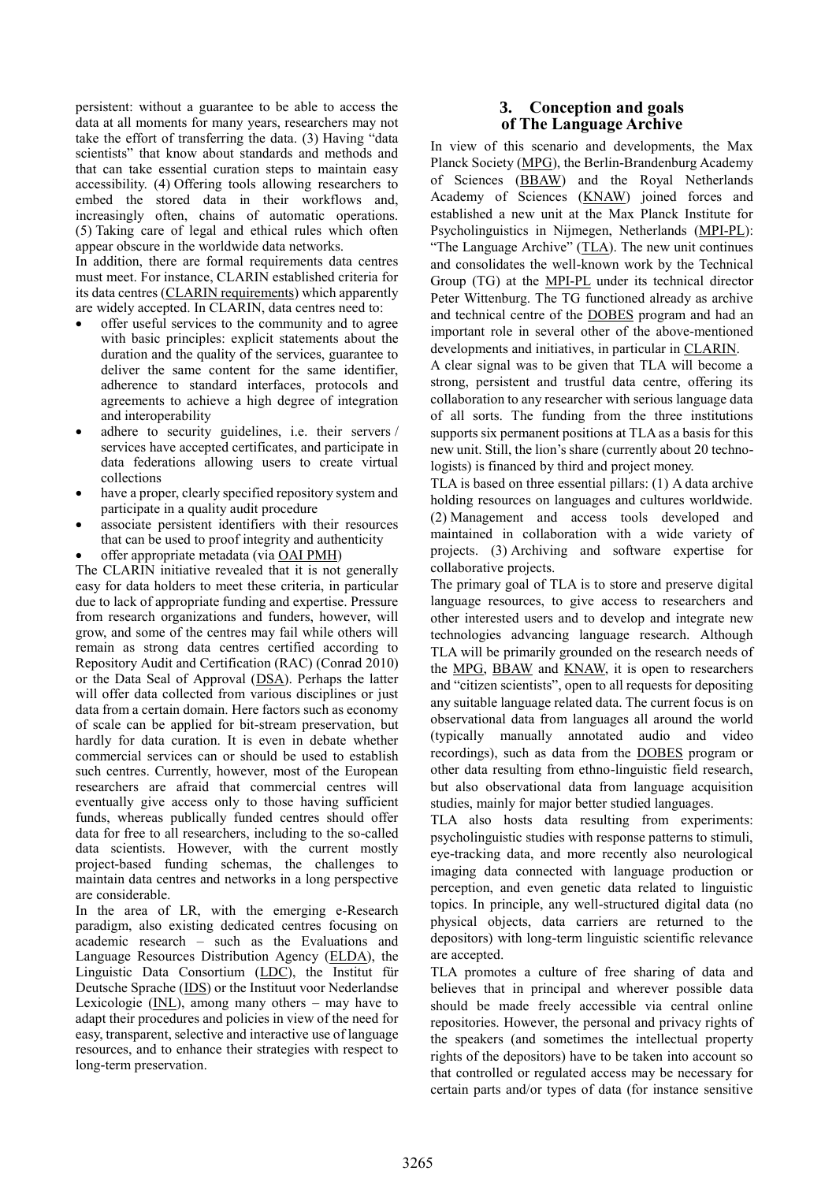persistent: without a guarantee to be able to access the data at all moments for many years, researchers may not take the effort of transferring the data. (3) Having "data scientists" that know about standards and methods and that can take essential curation steps to maintain easy accessibility. (4) Offering tools allowing researchers to embed the stored data in their workflows and, increasingly often, chains of automatic operations. (5) Taking care of legal and ethical rules which often appear obscure in the worldwide data networks.

In addition, there are formal requirements data centres must meet. For instance, CLARIN established criteria for its data centres (CLARIN requirements) which apparently are widely accepted. In CLARIN, data centres need to:

- offer useful services to the community and to agree with basic principles: explicit statements about the duration and the quality of the services, guarantee to deliver the same content for the same identifier, adherence to standard interfaces, protocols and agreements to achieve a high degree of integration and interoperability
- adhere to security guidelines, i.e. their servers / services have accepted certificates, and participate in data federations allowing users to create virtual collections
- have a proper, clearly specified repository system and participate in a quality audit procedure
- associate persistent identifiers with their resources that can be used to proof integrity and authenticity
- offer appropriate metadata (via OAI PMH)

The CLARIN initiative revealed that it is not generally easy for data holders to meet these criteria, in particular due to lack of appropriate funding and expertise. Pressure from research organizations and funders, however, will grow, and some of the centres may fail while others will remain as strong data centres certified according to Repository Audit and Certification (RAC) (Conrad 2010) or the Data Seal of Approval (DSA). Perhaps the latter will offer data collected from various disciplines or just data from a certain domain. Here factors such as economy of scale can be applied for bit-stream preservation, but hardly for data curation. It is even in debate whether commercial services can or should be used to establish such centres. Currently, however, most of the European researchers are afraid that commercial centres will eventually give access only to those having sufficient funds, whereas publically funded centres should offer data for free to all researchers, including to the so-called data scientists. However, with the current mostly project-based funding schemas, the challenges to maintain data centres and networks in a long perspective are considerable.

In the area of LR, with the emerging e-Research paradigm, also existing dedicated centres focusing on academic research – such as the Evaluations and Language Resources Distribution Agency (ELDA), the Linguistic Data Consortium (LDC), the Institut für Deutsche Sprache (IDS) or the Instituut voor Nederlandse Lexicologie ( $\underline{\text{INL}}$ ), among many others – may have to adapt their procedures and policies in view of the need for easy, transparent, selective and interactive use of language resources, and to enhance their strategies with respect to long-term preservation.

## **3. Conception and goals of The Language Archive**

In view of this scenario and developments, the Max Planck Society (MPG), the Berlin-Brandenburg Academy of Sciences (BBAW) and the Royal Netherlands Academy of Sciences (KNAW) joined forces and established a new unit at the Max Planck Institute for Psycholinguistics in Nijmegen, Netherlands (MPI-PL): "The Language Archive" (TLA). The new unit continues and consolidates the well-known work by the Technical Group (TG) at the MPI-PL under its technical director Peter Wittenburg. The TG functioned already as archive and technical centre of the DOBES program and had an important role in several other of the above-mentioned developments and initiatives, in particular in CLARIN.

A clear signal was to be given that TLA will become a strong, persistent and trustful data centre, offering its collaboration to any researcher with serious language data of all sorts. The funding from the three institutions supports six permanent positions at TLA as a basis for this new unit. Still, the lion's share (currently about 20 technologists) is financed by third and project money.

TLA is based on three essential pillars: (1) A data archive holding resources on languages and cultures worldwide. (2) Management and access tools developed and maintained in collaboration with a wide variety of projects. (3) Archiving and software expertise for collaborative projects.

The primary goal of TLA is to store and preserve digital language resources, to give access to researchers and other interested users and to develop and integrate new technologies advancing language research. Although TLA will be primarily grounded on the research needs of the MPG, BBAW and KNAW, it is open to researchers and "citizen scientists", open to all requests for depositing any suitable language related data. The current focus is on observational data from languages all around the world (typically manually annotated audio and video recordings), such as data from the DOBES program or other data resulting from ethno-linguistic field research, but also observational data from language acquisition studies, mainly for major better studied languages.

TLA also hosts data resulting from experiments: psycholinguistic studies with response patterns to stimuli, eye-tracking data, and more recently also neurological imaging data connected with language production or perception, and even genetic data related to linguistic topics. In principle, any well-structured digital data (no physical objects, data carriers are returned to the depositors) with long-term linguistic scientific relevance are accepted.

TLA promotes a culture of free sharing of data and believes that in principal and wherever possible data should be made freely accessible via central online repositories. However, the personal and privacy rights of the speakers (and sometimes the intellectual property rights of the depositors) have to be taken into account so that controlled or regulated access may be necessary for certain parts and/or types of data (for instance sensitive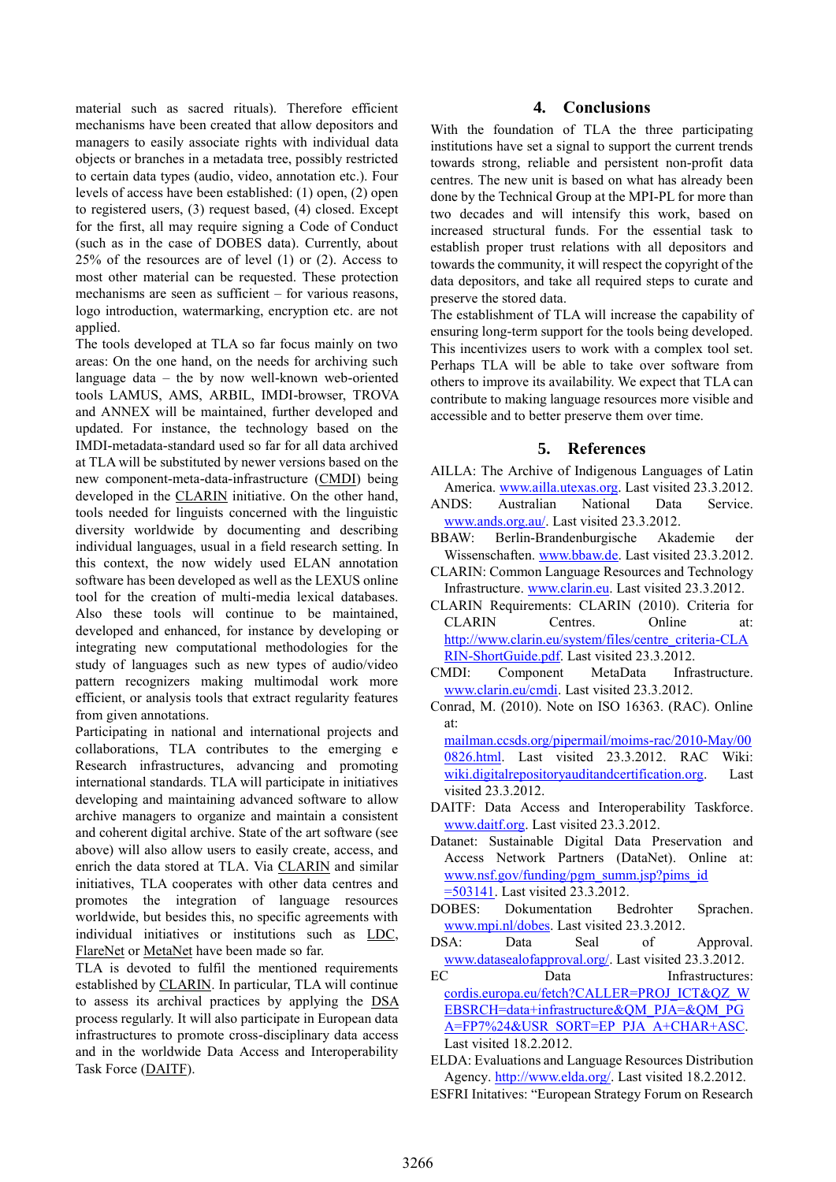material such as sacred rituals). Therefore efficient mechanisms have been created that allow depositors and managers to easily associate rights with individual data objects or branches in a metadata tree, possibly restricted to certain data types (audio, video, annotation etc.). Four levels of access have been established: (1) open, (2) open to registered users, (3) request based, (4) closed. Except for the first, all may require signing a Code of Conduct (such as in the case of DOBES data). Currently, about 25% of the resources are of level (1) or (2). Access to most other material can be requested. These protection mechanisms are seen as sufficient – for various reasons, logo introduction, watermarking, encryption etc. are not applied.

The tools developed at TLA so far focus mainly on two areas: On the one hand, on the needs for archiving such language data – the by now well-known web-oriented tools LAMUS, AMS, ARBIL, IMDI-browser, TROVA and ANNEX will be maintained, further developed and updated. For instance, the technology based on the IMDI-metadata-standard used so far for all data archived at TLA will be substituted by newer versions based on the new component-meta-data-infrastructure (CMDI) being developed in the CLARIN initiative. On the other hand, tools needed for linguists concerned with the linguistic diversity worldwide by documenting and describing individual languages, usual in a field research setting. In this context, the now widely used ELAN annotation software has been developed as well as the LEXUS online tool for the creation of multi-media lexical databases. Also these tools will continue to be maintained, developed and enhanced, for instance by developing or integrating new computational methodologies for the study of languages such as new types of audio/video pattern recognizers making multimodal work more efficient, or analysis tools that extract regularity features from given annotations.

Participating in national and international projects and collaborations, TLA contributes to the emerging e Research infrastructures, advancing and promoting international standards. TLA will participate in initiatives developing and maintaining advanced software to allow archive managers to organize and maintain a consistent and coherent digital archive. State of the art software (see above) will also allow users to easily create, access, and enrich the data stored at TLA. Via CLARIN and similar initiatives, TLA cooperates with other data centres and promotes the integration of language resources worldwide, but besides this, no specific agreements with individual initiatives or institutions such as LDC, FlareNet or MetaNet have been made so far.

TLA is devoted to fulfil the mentioned requirements established by CLARIN. In particular, TLA will continue to assess its archival practices by applying the DSA process regularly. It will also participate in European data infrastructures to promote cross-disciplinary data access and in the worldwide Data Access and Interoperability Task Force (DAITF).

### **4. Conclusions**

With the foundation of TLA the three participating institutions have set a signal to support the current trends towards strong, reliable and persistent non-profit data centres. The new unit is based on what has already been done by the Technical Group at the MPI-PL for more than two decades and will intensify this work, based on increased structural funds. For the essential task to establish proper trust relations with all depositors and towards the community, it will respect the copyright of the data depositors, and take all required steps to curate and preserve the stored data.

The establishment of TLA will increase the capability of ensuring long-term support for the tools being developed. This incentivizes users to work with a complex tool set. Perhaps TLA will be able to take over software from others to improve its availability. We expect that TLA can contribute to making language resources more visible and accessible and to better preserve them over time.

### **5. References**

- AILLA: The Archive of Indigenous Languages of Latin America. [www.ailla.utexas.org.](http://www.ailla.utexas.org/) Last visited 23.3.2012.
- ANDS: Australian National Data Service. [www.ands.org.au/.](http://www.ands.org.au/) Last visited 23.3.2012.
- BBAW: Berlin-Brandenburgische Akademie der Wissenschaften. [www.bbaw.de.](http://www.bbaw.de/) Last visited 23.3.2012.
- CLARIN: Common Language Resources and Technology Infrastructure. [www.clarin.eu.](http://www.clarin.eu/) Last visited 23.3.2012.
- CLARIN Requirements: CLARIN (2010). Criteria for CLARIN Centres. Online at: [http://www.clarin.eu/system/files/centre\\_criteria-CLA](http://www.clarin.eu/system/files/centre_criteria-CLARIN-ShortGuide.pdf) [RIN-ShortGuide.pdf.](http://www.clarin.eu/system/files/centre_criteria-CLARIN-ShortGuide.pdf) Last visited 23.3.2012.
- CMDI: Component MetaData Infrastructure. [www.clarin.eu/cmdi.](http://www.clarin.eu/cmdi) Last visited 23.3.2012.
- Conrad, M. (2010). Note on ISO 16363. (RAC). Online at:

[mailman.ccsds.org/pipermail/moims-rac/2010-May/00](http://mailman.ccsds.org/pipermail/moims-rac/2010-May/000826.html) [0826.html.](http://mailman.ccsds.org/pipermail/moims-rac/2010-May/000826.html) Last visited 23.3.2012. RAC Wiki: [wiki.digitalrepositoryauditandcertification.org.](http://wiki.digitalrepositoryauditandcertification.org/bin/view) Last visited 23.3.2012.

- DAITF: Data Access and Interoperability Taskforce. [www.daitf.org.](http://www.daitf.org/) Last visited 23.3.2012.
- Datanet: Sustainable Digital Data Preservation and Access Network Partners (DataNet). Online at: [www.nsf.gov/funding/pgm\\_summ.jsp?pims\\_id](http://www.nsf.gov/funding/pgm_summ.jsp?pims_id=503141) [=503141.](http://www.nsf.gov/funding/pgm_summ.jsp?pims_id=503141) Last visited 23.3.2012.
- DOBES: Dokumentation Bedrohter Sprachen. [www.mpi.nl/dobes.](http://www.mpi.nl/dobes) Last visited 23.3.2012.
- DSA: Data Seal of Approval. [www.datasealofapproval.org/.](http://www.datasealofapproval.org/) Last visited 23.3.2012.
- EC Data Infrastructures: cordis.europa.eu/fetch?CALLER=PROJ\_ICT&OZ\_W [EBSRCH=data+infrastructure&QM\\_PJA=&QM\\_PG](cordis.europa.eu/fetch?CALLER=PROJ_ICT&QZ_WEBSRCH=data+infrastructure&QM_PJA=&QM_PGA=FP7%24&USR_SORT=EP_PJA_A+CHAR+ASC) [A=FP7%24&USR\\_SORT=EP\\_PJA\\_A+CHAR+ASC.](cordis.europa.eu/fetch?CALLER=PROJ_ICT&QZ_WEBSRCH=data+infrastructure&QM_PJA=&QM_PGA=FP7%24&USR_SORT=EP_PJA_A+CHAR+ASC) Last visited 18.2.2012.
- ELDA: Evaluations and Language Resources Distribution Agency. [http://www.elda.org/.](http://www.elda.org/) Last visited 18.2.2012. ESFRI Initatives: "European Strategy Forum on Research